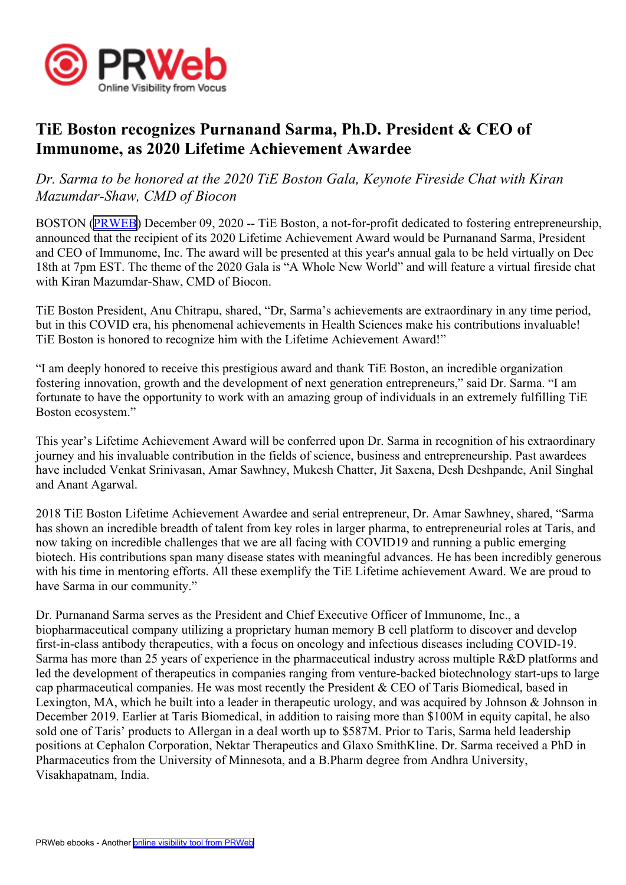

## **TiE Boston recognizes Purnanand Sarma, Ph.D. President & CEO of Immunome, as 2020 Lifetime Achievement Awardee**

## *Dr. Sarma to be honored at the 2020 TiE Boston Gala, Keynote Fireside Chat with Kiran Mazumdar-Shaw, CMD of Biocon*

BOSTON ([PRWEB](http://www.prweb.com)) December 09, 2020 -- TiE Boston, <sup>a</sup> not-for-profit dedicated to fostering entrepreneurship, announced that the recipient of its 2020 Lifetime Achievement Award would be Purnanand Sarma, President and CEO of Immunome, Inc. The award will be presented at this year's annual gala to be held virtually on Dec 18th at 7pm EST. The theme of the 2020 Gala is "A Whole New World" and will feature <sup>a</sup> virtual fireside chat with Kiran Mazumdar-Shaw, CMD of Biocon.

TiE Boston President, Anu Chitrapu, shared, "Dr, Sarma's achievements are extraordinary in any time period, but in this COVID era, his phenomenal achievements in Health Sciences make his contributions invaluable! TiE Boston is honored to recognize him with the Lifetime Achievement Award!"

"I am deeply honored to receive this prestigious award and thank TiE Boston, an incredible organization fostering innovation, growth and the development of next generation entrepreneurs," said Dr. Sarma. "I am fortunate to have the opportunity to work with an amazing group of individuals in an extremely fulfilling TiE Boston ecosystem."

This year's Lifetime Achievement Award will be conferred upon Dr. Sarma in recognition of his extraordinary journey and his invaluable contribution in the fields of science, business and entrepreneurship. Past awardees have included Venkat Srinivasan, Amar Sawhney, Mukesh Chatter, Jit Saxena, Desh Deshpande, Anil Singhal and Anant Agarwal.

2018 TiE Boston Lifetime Achievement Awardee and serial entrepreneur, Dr. Amar Sawhney, shared, "Sarma has shown an incredible breadth of talent from key roles in larger pharma, to entrepreneurial roles at Taris, and now taking on incredible challenges that we are all facing with COVID19 and running <sup>a</sup> public emerging biotech. His contributions span many disease states with meaningful advances. He has been incredibly generous with his time in mentoring efforts. All these exemplify the TiE Lifetime achievement Award. We are proud to have Sarma in our community."

Dr. Purnanand Sarma serves as the President and Chief Executive Officer of Immunome, Inc., <sup>a</sup> biopharmaceutical company utilizing <sup>a</sup> proprietary human memory B cell platform to discover and develop first-in-class antibody therapeutics, with <sup>a</sup> focus on oncology and infectious diseases including COVID-19. Sarma has more than 25 years of experience in the pharmaceutical industry across multiple R&D platforms and led the development of therapeutics in companies ranging from venture-backed biotechnology start-ups to large cap pharmaceutical companies. He was most recently the President  $&\angle$  CEO of Taris Biomedical, based in Lexington, MA, which he built into a leader in therapeutic urology, and was acquired by Johnson & Johnson in December 2019. Earlier at Taris Biomedical, in addition to raising more than \$100M in equity capital, he also sold one of Taris' products to Allergan in <sup>a</sup> deal worth up to \$587M. Prior to Taris, Sarma held leadership positions at Cephalon Corporation, Nektar Therapeutics and Glaxo SmithKline. Dr. Sarma received <sup>a</sup> PhD in Pharmaceutics from the University of Minnesota, and <sup>a</sup> B.Pharm degree from Andhra University, Visakhapatnam, India.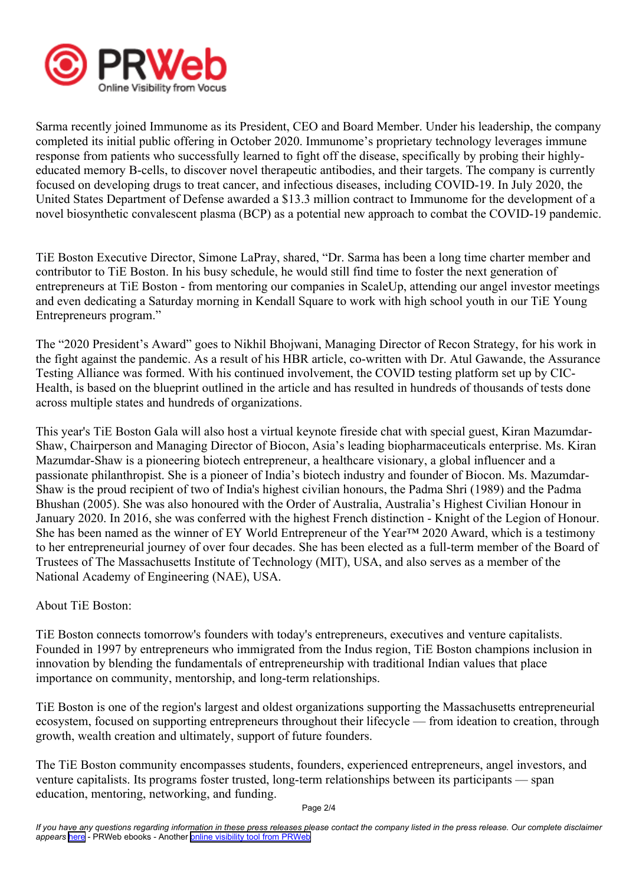

Sarma recently joined Immunome as its President, CEO and Board Member. Under his leadership, the company completed its initial public offering in October 2020. Immunome's proprietary technology leverages immune response from patients who successfully learned to fight off the disease, specifically by probing their highlyeducated memory B-cells, to discover novel therapeutic antibodies, and their targets. The company is currently focused on developing drugs to treat cancer, and infectious diseases, including COVID-19. In July 2020, the United States Department of Defense awarded <sup>a</sup> \$13.3 million contract to Immunome for the development of <sup>a</sup> novel biosynthetic convalescent plasma (BCP) as <sup>a</sup> potential new approach to combat the COVID-19 pandemic.

TiE Boston Executive Director, Simone LaPray, shared, "Dr. Sarma has been <sup>a</sup> long time charter member and contributor to TiE Boston. In his busy schedule, he would still find time to foster the next generation of entrepreneurs at TiE Boston - from mentoring our companies in ScaleUp, attending our angel investor meetings and even dedicating <sup>a</sup> Saturday morning in Kendall Square to work with high school youth in our TiE Young Entrepreneurs program."

The "2020 President's Award" goes to Nikhil Bhojwani, Managing Director of Recon Strategy, for his work in the fight against the pandemic. As <sup>a</sup> result of his HBR article, co-written with Dr. Atul Gawande, the Assurance Testing Alliance was formed. With his continued involvement, the COVID testing platform set up by CIC-Health, is based on the blueprint outlined in the article and has resulted in hundreds of thousands of tests done across multiple states and hundreds of organizations.

This year's TiE Boston Gala will also host <sup>a</sup> virtual keynote fireside chat with special guest, Kiran Mazumdar-Shaw, Chairperson and Managing Director of Biocon, Asia's leading biopharmaceuticals enterprise. Ms. Kiran Mazumdar-Shaw is <sup>a</sup> pioneering biotech entrepreneur, <sup>a</sup> healthcare visionary, <sup>a</sup> global influencer and <sup>a</sup> passionate philanthropist. She is <sup>a</sup> pioneer of India's biotech industry and founder of Biocon. Ms. Mazumdar-Shaw is the proud recipient of two of India's highest civilian honours, the Padma Shri (1989) and the Padma Bhushan (2005). She was also honoured with the Order of Australia, Australia's Highest Civilian Honour in January 2020. In 2016, she was conferred with the highest French distinction - Knight of the Legion of Honour. She has been named as the winner of EY World Entrepreneur of the Year™ 2020 Award, which is a testimony to her entrepreneurial journey of over four decades. She has been elected as <sup>a</sup> full-term member of the Board of Trustees of The Massachusetts Institute of Technology (MIT), USA, and also serves as <sup>a</sup> member of the National Academy of Engineering (NAE), USA.

About TiE Boston:

TiE Boston connects tomorrow's founders with today's entrepreneurs, executives and venture capitalists. Founded in 1997 by entrepreneurs who immigrated from the Indus region, TiE Boston champions inclusion in innovation by blending the fundamentals of entrepreneurship with traditional Indian values that place importance on community, mentorship, and long-term relationships.

TiE Boston is one of the region's largest and oldest organizations supporting the Massachusetts entrepreneurial ecosystem, focused on supporting entrepreneurs throughout their lifecycle — from ideation to creation, through growth, wealth creation and ultimately, suppor<sup>t</sup> of future founders.

The TiE Boston community encompasses students, founders, experienced entrepreneurs, angel investors, and venture capitalists. Its programs foster trusted, long-term relationships between its participants — span education, mentoring, networking, and funding.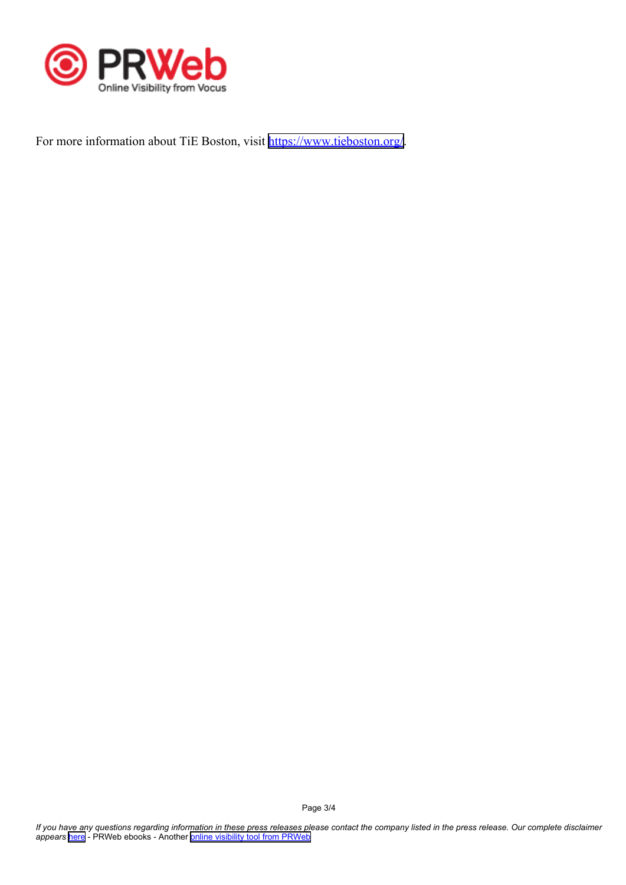

For more information about TiE Boston, visit <https://www.tieboston.org/>.